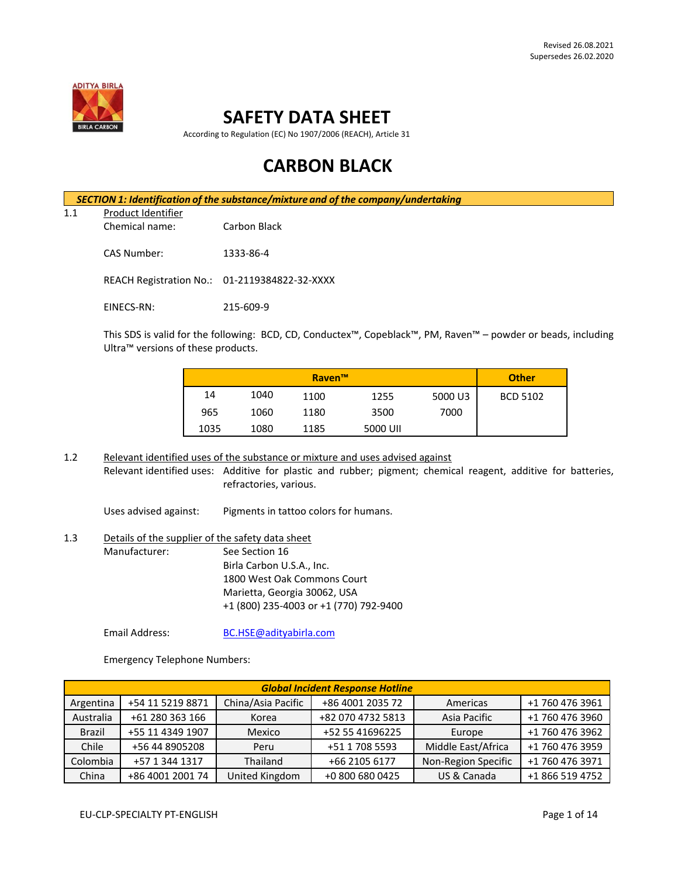

# **SAFETY DATA SHEET**

According to Regulation (EC) No 1907/2006 (REACH), Article 31

# **CARBON BLACK**

*SECTION 1: Identification of the substance/mixture and of the company/undertaking* 1.1 Product Identifier Chemical name: Carbon Black CAS Number: 1333-86-4 REACH Registration No.: 01-2119384822-32-XXXX EINECS-RN: 215-609-9

This SDS is valid for the following: BCD, CD, Conductex™, Copeblack™, PM, Raven™ – powder or beads, including Ultra™ versions of these products.

|      | <b>Raven™</b> |      |          |         |                 |
|------|---------------|------|----------|---------|-----------------|
| 14   | 1040          | 1100 | 1255     | 5000 U3 | <b>BCD 5102</b> |
| 965  | 1060          | 1180 | 3500     | 7000    |                 |
| 1035 | 1080          | 1185 | 5000 UII |         |                 |

1.2 Relevant identified uses of the substance or mixture and uses advised against Relevant identified uses: Additive for plastic and rubber; pigment; chemical reagent, additive for batteries, refractories, various.

Uses advised against: Pigments in tattoo colors for humans.

## 1.3 Details of the supplier of the safety data sheet Manufacturer: See Section 16 Birla Carbon U.S.A., Inc. 1800 West Oak Commons Court Marietta, Georgia 30062, USA +1 (800) 235-4003 or +1 (770) 792-9400

Email Address: [BC.HSE@adityabirla.com](mailto:BC.HSE@adityabirla.com)

Emergency Telephone Numbers:

| <b>Global Incident Response Hotline</b> |                  |                    |                   |                     |                 |  |
|-----------------------------------------|------------------|--------------------|-------------------|---------------------|-----------------|--|
| Argentina                               | +54 11 5219 8871 | China/Asia Pacific | +86 4001 2035 72  | Americas            | +1 760 476 3961 |  |
| Australia                               | +61 280 363 166  | Korea              | +82 070 4732 5813 | Asia Pacific        | +1 760 476 3960 |  |
| <b>Brazil</b>                           | +55 11 4349 1907 | Mexico             | +52 55 41696225   | Europe              | +1 760 476 3962 |  |
| Chile                                   | +56 44 8905208   | Peru               | +51 1 708 5593    | Middle East/Africa  | +1 760 476 3959 |  |
| Colombia                                | +57 1 344 1317   | Thailand           | +66 2105 6177     | Non-Region Specific | +1 760 476 3971 |  |
| China                                   | +86 4001 2001 74 | United Kingdom     | +0 800 680 0425   | US & Canada         | +1 866 519 4752 |  |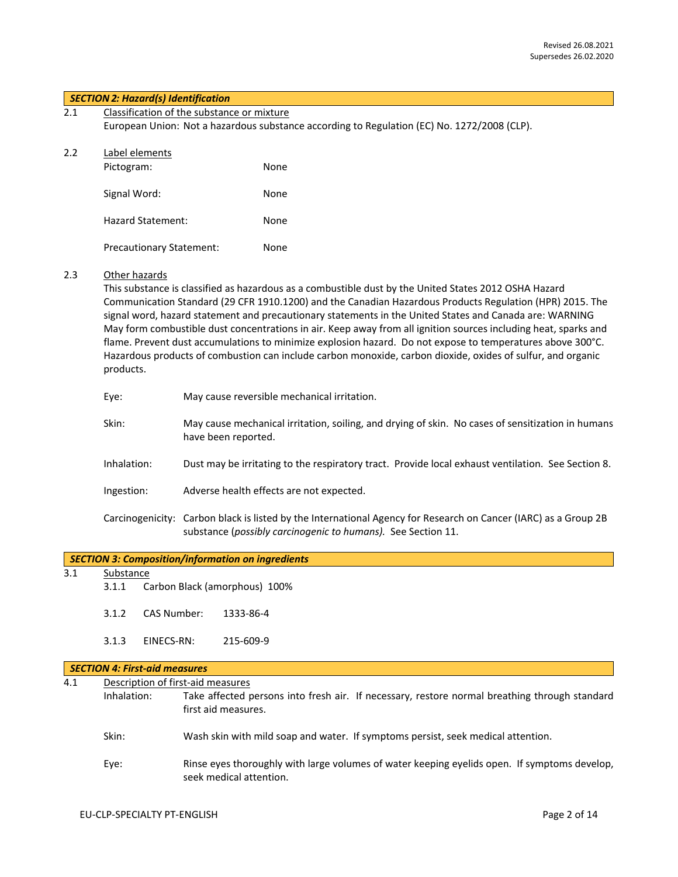| 2.1 | Classification of the substance or mixture                                                  |  |
|-----|---------------------------------------------------------------------------------------------|--|
|     | European Union: Not a hazardous substance according to Regulation (EC) No. 1272/2008 (CLP). |  |
|     |                                                                                             |  |

| 2.2 | Label elements |             |
|-----|----------------|-------------|
|     | Dirform        | <b>None</b> |

| 1100510111.                     | 13 U L |
|---------------------------------|--------|
| Signal Word:                    | None   |
| Hazard Statement:               | None   |
| <b>Precautionary Statement:</b> | None   |

#### 2.3 Other hazards

This substance is classified as hazardous as a combustible dust by the United States 2012 OSHA Hazard Communication Standard (29 CFR 1910.1200) and the Canadian Hazardous Products Regulation (HPR) 2015. The signal word, hazard statement and precautionary statements in the United States and Canada are: WARNING May form combustible dust concentrations in air. Keep away from all ignition sources including heat, sparks and flame. Prevent dust accumulations to minimize explosion hazard. Do not expose to temperatures above 300°C. Hazardous products of combustion can include carbon monoxide, carbon dioxide, oxides of sulfur, and organic products.

| Eye:        | May cause reversible mechanical irritation.                                                                                                                                     |
|-------------|---------------------------------------------------------------------------------------------------------------------------------------------------------------------------------|
| Skin:       | May cause mechanical irritation, soiling, and drying of skin. No cases of sensitization in humans<br>have been reported.                                                        |
| Inhalation: | Dust may be irritating to the respiratory tract. Provide local exhaust ventilation. See Section 8.                                                                              |
| Ingestion:  | Adverse health effects are not expected.                                                                                                                                        |
|             | Carcinogenicity: Carbon black is listed by the International Agency for Research on Cancer (IARC) as a Group 2B<br>substance (possibly carcinogenic to humans). See Section 11. |

## 3.1 Substance

- 3.1.1 Carbon Black (amorphous) 100%
- 3.1.2 CAS Number: 1333-86-4
- 3.1.3 EINECS-RN: 215-609-9

#### *SECTION 4: First-aid measures*

| 4.1 |             | Description of first-aid measures                                                                                       |  |  |  |  |  |
|-----|-------------|-------------------------------------------------------------------------------------------------------------------------|--|--|--|--|--|
|     | Inhalation: | Take affected persons into fresh air. If necessary, restore normal breathing through standard<br>first aid measures.    |  |  |  |  |  |
|     | Skin:       | Wash skin with mild soap and water. If symptoms persist, seek medical attention.                                        |  |  |  |  |  |
|     | Eye:        | Rinse eyes thoroughly with large volumes of water keeping eyelids open. If symptoms develop,<br>seek medical attention. |  |  |  |  |  |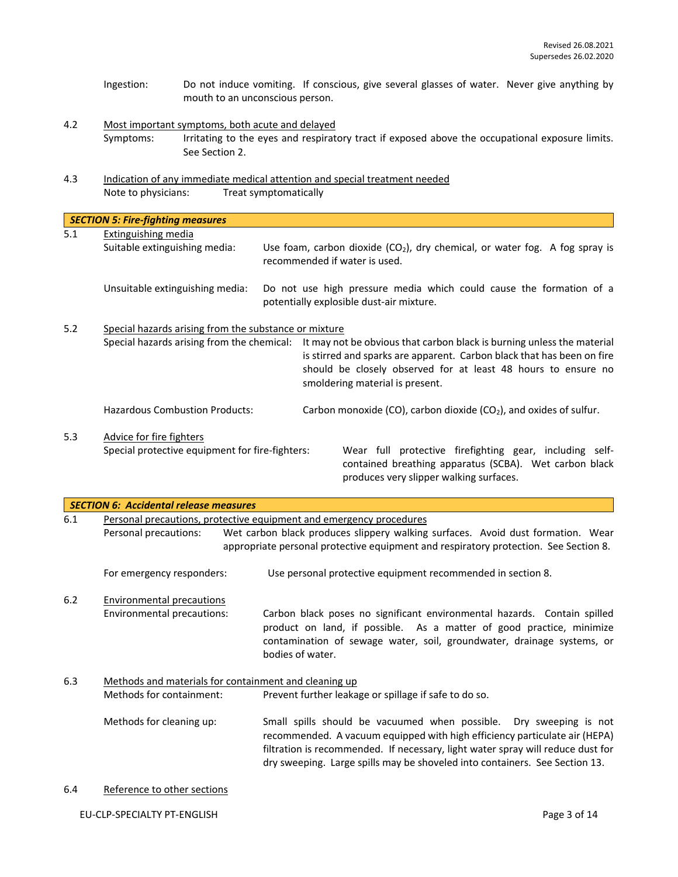- Ingestion: Do not induce vomiting. If conscious, give several glasses of water. Never give anything by mouth to an unconscious person.
- 4.2 Most important symptoms, both acute and delayed Symptoms: Irritating to the eyes and respiratory tract if exposed above the occupational exposure limits. See Section 2.
- 4.3 Indication of any immediate medical attention and special treatment needed Note to physicians: Treat symptomatically

|     | <b>SECTION 5: Fire-fighting measures</b>                                                            |                                                                                                                 |                                                                                                                                                                                                                                                      |                                                                                                                   |
|-----|-----------------------------------------------------------------------------------------------------|-----------------------------------------------------------------------------------------------------------------|------------------------------------------------------------------------------------------------------------------------------------------------------------------------------------------------------------------------------------------------------|-------------------------------------------------------------------------------------------------------------------|
| 5.1 | Extinguishing media<br>Suitable extinguishing media:                                                | Use foam, carbon dioxide $(CO_2)$ , dry chemical, or water fog. A fog spray is<br>recommended if water is used. |                                                                                                                                                                                                                                                      |                                                                                                                   |
|     | Unsuitable extinguishing media:                                                                     |                                                                                                                 |                                                                                                                                                                                                                                                      | Do not use high pressure media which could cause the formation of a<br>potentially explosible dust-air mixture.   |
| 5.2 | Special hazards arising from the substance or mixture<br>Special hazards arising from the chemical: |                                                                                                                 | It may not be obvious that carbon black is burning unless the material<br>is stirred and sparks are apparent. Carbon black that has been on fire<br>should be closely observed for at least 48 hours to ensure no<br>smoldering material is present. |                                                                                                                   |
|     | <b>Hazardous Combustion Products:</b>                                                               |                                                                                                                 |                                                                                                                                                                                                                                                      | Carbon monoxide (CO), carbon dioxide (CO <sub>2</sub> ), and oxides of sulfur.                                    |
| 5.3 | Advice for fire fighters<br>Special protective equipment for fire-fighters:                         |                                                                                                                 |                                                                                                                                                                                                                                                      | Wear full protective firefighting gear, including self-<br>contained breathing apparatus (SCBA). Wet carbon black |
|     |                                                                                                     |                                                                                                                 |                                                                                                                                                                                                                                                      | produces very slipper walking surfaces.                                                                           |

|     | <b>SECTION 6: Accidental release measures</b>         |                                                                                                                                                                                                                                                                                                                    |  |  |  |  |  |
|-----|-------------------------------------------------------|--------------------------------------------------------------------------------------------------------------------------------------------------------------------------------------------------------------------------------------------------------------------------------------------------------------------|--|--|--|--|--|
| 6.1 |                                                       | Personal precautions, protective equipment and emergency procedures                                                                                                                                                                                                                                                |  |  |  |  |  |
|     | Personal precautions:                                 | Wet carbon black produces slippery walking surfaces. Avoid dust formation. Wear                                                                                                                                                                                                                                    |  |  |  |  |  |
|     |                                                       | appropriate personal protective equipment and respiratory protection. See Section 8.                                                                                                                                                                                                                               |  |  |  |  |  |
|     | For emergency responders:                             | Use personal protective equipment recommended in section 8.                                                                                                                                                                                                                                                        |  |  |  |  |  |
| 6.2 | <b>Environmental precautions</b>                      |                                                                                                                                                                                                                                                                                                                    |  |  |  |  |  |
|     | Environmental precautions:                            | Carbon black poses no significant environmental hazards. Contain spilled<br>product on land, if possible. As a matter of good practice, minimize<br>contamination of sewage water, soil, groundwater, drainage systems, or<br>bodies of water.                                                                     |  |  |  |  |  |
| 6.3 | Methods and materials for containment and cleaning up |                                                                                                                                                                                                                                                                                                                    |  |  |  |  |  |
|     | Methods for containment:                              | Prevent further leakage or spillage if safe to do so.                                                                                                                                                                                                                                                              |  |  |  |  |  |
|     | Methods for cleaning up:                              | Small spills should be vacuumed when possible. Dry sweeping is not<br>recommended. A vacuum equipped with high efficiency particulate air (HEPA)<br>filtration is recommended. If necessary, light water spray will reduce dust for<br>dry sweeping. Large spills may be shoveled into containers. See Section 13. |  |  |  |  |  |

6.4 Reference to other sections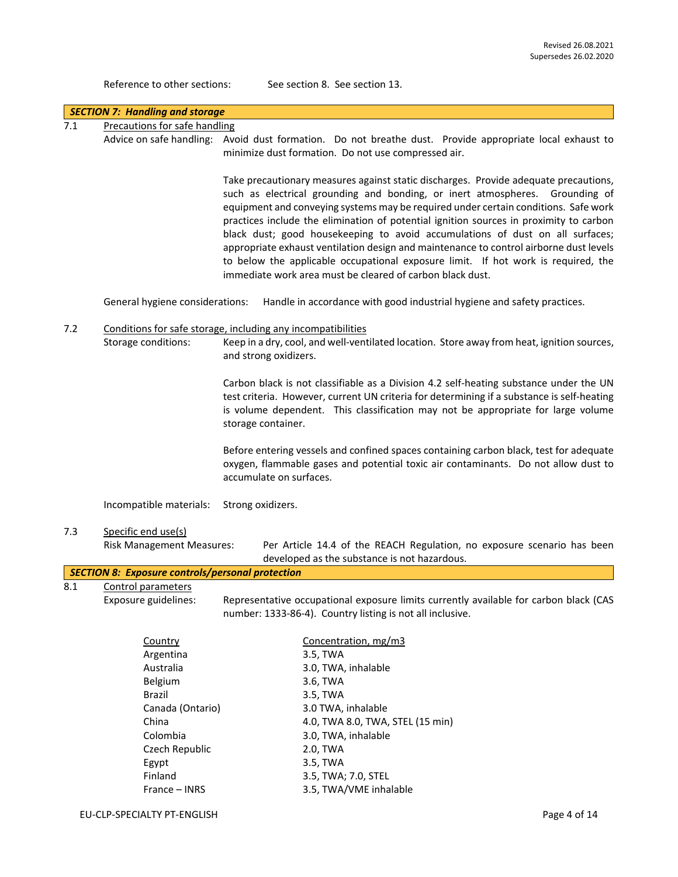Reference to other sections: See section 8. See section 13.

|                                                                                                                     | <b>SECTION 7: Handling and storage</b>                  |                                                                                                                                                                                                                                                                                                                                                                                                                                                                                                                                                                                                                                                                                    |  |  |  |  |
|---------------------------------------------------------------------------------------------------------------------|---------------------------------------------------------|------------------------------------------------------------------------------------------------------------------------------------------------------------------------------------------------------------------------------------------------------------------------------------------------------------------------------------------------------------------------------------------------------------------------------------------------------------------------------------------------------------------------------------------------------------------------------------------------------------------------------------------------------------------------------------|--|--|--|--|
| 7.1                                                                                                                 | Precautions for safe handling                           |                                                                                                                                                                                                                                                                                                                                                                                                                                                                                                                                                                                                                                                                                    |  |  |  |  |
|                                                                                                                     |                                                         | Advice on safe handling: Avoid dust formation. Do not breathe dust. Provide appropriate local exhaust to<br>minimize dust formation. Do not use compressed air.                                                                                                                                                                                                                                                                                                                                                                                                                                                                                                                    |  |  |  |  |
|                                                                                                                     |                                                         | Take precautionary measures against static discharges. Provide adequate precautions,<br>such as electrical grounding and bonding, or inert atmospheres. Grounding of<br>equipment and conveying systems may be required under certain conditions. Safe work<br>practices include the elimination of potential ignition sources in proximity to carbon<br>black dust; good housekeeping to avoid accumulations of dust on all surfaces;<br>appropriate exhaust ventilation design and maintenance to control airborne dust levels<br>to below the applicable occupational exposure limit. If hot work is required, the<br>immediate work area must be cleared of carbon black dust. |  |  |  |  |
|                                                                                                                     | General hygiene considerations:                         | Handle in accordance with good industrial hygiene and safety practices.                                                                                                                                                                                                                                                                                                                                                                                                                                                                                                                                                                                                            |  |  |  |  |
| 7.2<br>Conditions for safe storage, including any incompatibilities<br>Storage conditions:<br>and strong oxidizers. |                                                         | Keep in a dry, cool, and well-ventilated location. Store away from heat, ignition sources,                                                                                                                                                                                                                                                                                                                                                                                                                                                                                                                                                                                         |  |  |  |  |
|                                                                                                                     |                                                         | Carbon black is not classifiable as a Division 4.2 self-heating substance under the UN<br>test criteria. However, current UN criteria for determining if a substance is self-heating<br>is volume dependent. This classification may not be appropriate for large volume<br>storage container.                                                                                                                                                                                                                                                                                                                                                                                     |  |  |  |  |
|                                                                                                                     |                                                         | Before entering vessels and confined spaces containing carbon black, test for adequate<br>oxygen, flammable gases and potential toxic air contaminants. Do not allow dust to<br>accumulate on surfaces.                                                                                                                                                                                                                                                                                                                                                                                                                                                                            |  |  |  |  |
|                                                                                                                     | Incompatible materials:                                 | Strong oxidizers.                                                                                                                                                                                                                                                                                                                                                                                                                                                                                                                                                                                                                                                                  |  |  |  |  |
| 7.3                                                                                                                 | Specific end use(s)<br><b>Risk Management Measures:</b> | Per Article 14.4 of the REACH Regulation, no exposure scenario has been<br>developed as the substance is not hazardous.                                                                                                                                                                                                                                                                                                                                                                                                                                                                                                                                                            |  |  |  |  |
|                                                                                                                     | <b>SECTION 8: Exposure controls/personal protection</b> |                                                                                                                                                                                                                                                                                                                                                                                                                                                                                                                                                                                                                                                                                    |  |  |  |  |
| 8.1                                                                                                                 | Control parameters                                      |                                                                                                                                                                                                                                                                                                                                                                                                                                                                                                                                                                                                                                                                                    |  |  |  |  |
|                                                                                                                     | Exposure guidelines:                                    | Representative occupational exposure limits currently available for carbon black (CAS<br>number: 1333-86-4). Country listing is not all inclusive.                                                                                                                                                                                                                                                                                                                                                                                                                                                                                                                                 |  |  |  |  |
|                                                                                                                     | Country                                                 | Concentration, mg/m3                                                                                                                                                                                                                                                                                                                                                                                                                                                                                                                                                                                                                                                               |  |  |  |  |
|                                                                                                                     | Argentina                                               | 3.5, TWA                                                                                                                                                                                                                                                                                                                                                                                                                                                                                                                                                                                                                                                                           |  |  |  |  |
|                                                                                                                     | Australia                                               | 3.0, TWA, inhalable                                                                                                                                                                                                                                                                                                                                                                                                                                                                                                                                                                                                                                                                |  |  |  |  |
|                                                                                                                     | Belgium                                                 | 3.6, TWA                                                                                                                                                                                                                                                                                                                                                                                                                                                                                                                                                                                                                                                                           |  |  |  |  |
|                                                                                                                     | Brazil                                                  | 3.5, TWA                                                                                                                                                                                                                                                                                                                                                                                                                                                                                                                                                                                                                                                                           |  |  |  |  |
|                                                                                                                     | Canada (Ontario)<br>China                               | 3.0 TWA, inhalable<br>4.0, TWA 8.0, TWA, STEL (15 min)                                                                                                                                                                                                                                                                                                                                                                                                                                                                                                                                                                                                                             |  |  |  |  |
|                                                                                                                     | Colombia                                                | 3.0, TWA, inhalable                                                                                                                                                                                                                                                                                                                                                                                                                                                                                                                                                                                                                                                                |  |  |  |  |
|                                                                                                                     | Czech Republic                                          | 2.0, TWA                                                                                                                                                                                                                                                                                                                                                                                                                                                                                                                                                                                                                                                                           |  |  |  |  |
|                                                                                                                     | Egypt                                                   | 3.5, TWA                                                                                                                                                                                                                                                                                                                                                                                                                                                                                                                                                                                                                                                                           |  |  |  |  |
|                                                                                                                     | Finland                                                 | 3.5, TWA; 7.0, STEL                                                                                                                                                                                                                                                                                                                                                                                                                                                                                                                                                                                                                                                                |  |  |  |  |
|                                                                                                                     | France - INRS                                           | 3.5, TWA/VME inhalable                                                                                                                                                                                                                                                                                                                                                                                                                                                                                                                                                                                                                                                             |  |  |  |  |
|                                                                                                                     | EU-CLP-SPECIALTY PT-ENGLISH                             | Page 4 of 14                                                                                                                                                                                                                                                                                                                                                                                                                                                                                                                                                                                                                                                                       |  |  |  |  |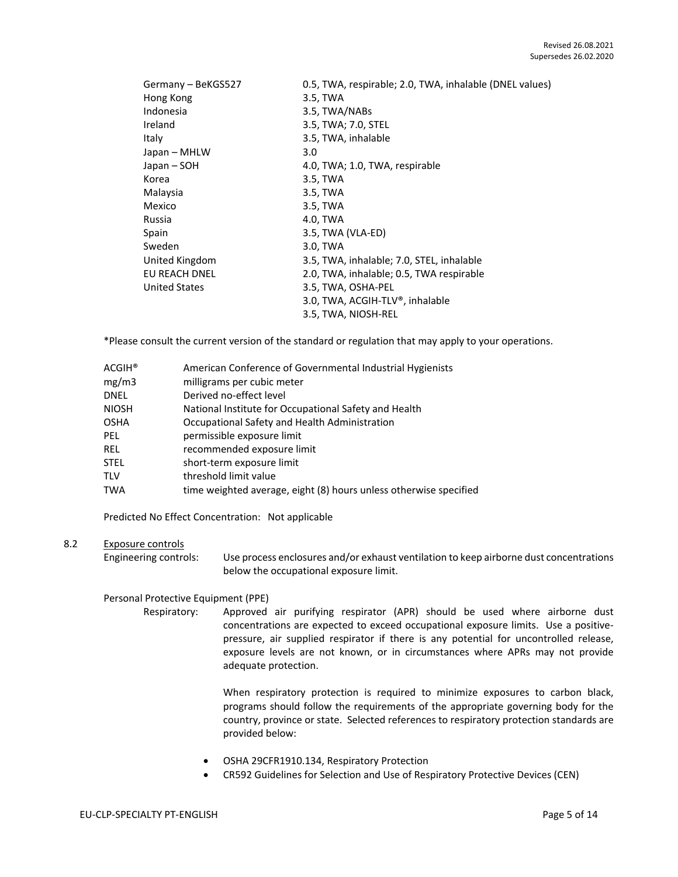| Germany - BeKGS527   | 0.5, TWA, respirable; 2.0, TWA, inhalable (DNEL values) |
|----------------------|---------------------------------------------------------|
| Hong Kong            | 3.5, TWA                                                |
| Indonesia            | 3.5, TWA/NABs                                           |
| Ireland              | 3.5, TWA; 7.0, STEL                                     |
| Italy                | 3.5, TWA, inhalable                                     |
| Japan – MHLW         | 3.0                                                     |
| Japan – SOH          | 4.0, TWA; 1.0, TWA, respirable                          |
| Korea                | 3.5, TWA                                                |
| Malaysia             | 3.5, TWA                                                |
| Mexico               | 3.5, TWA                                                |
| Russia               | 4.0, TWA                                                |
| Spain                | 3.5, TWA (VLA-ED)                                       |
| Sweden               | 3.0, TWA                                                |
| United Kingdom       | 3.5, TWA, inhalable; 7.0, STEL, inhalable               |
| EU REACH DNEL        | 2.0, TWA, inhalable; 0.5, TWA respirable                |
| <b>United States</b> | 3.5, TWA, OSHA-PEL                                      |
|                      | 3.0, TWA, ACGIH-TLV®, inhalable                         |
|                      | 3.5, TWA, NIOSH-REL                                     |

\*Please consult the current version of the standard or regulation that may apply to your operations.

| ACGIH® | American Conference of Governmental Industrial Hygienists         |
|--------|-------------------------------------------------------------------|
| mg/m3  | milligrams per cubic meter                                        |
| DNEL   | Derived no-effect level                                           |
| NIOSH  | National Institute for Occupational Safety and Health             |
| OSHA   | Occupational Safety and Health Administration                     |
| PEL    | permissible exposure limit                                        |
| REL    | recommended exposure limit                                        |
| STEL   | short-term exposure limit                                         |
| TLV    | threshold limit value                                             |
| TWA    | time weighted average, eight (8) hours unless otherwise specified |

Predicted No Effect Concentration: Not applicable

## 8.2 Exposure controls

Engineering controls: Use process enclosures and/or exhaust ventilation to keep airborne dust concentrations below the occupational exposure limit.

## Personal Protective Equipment (PPE)

Respiratory: Approved air purifying respirator (APR) should be used where airborne dust concentrations are expected to exceed occupational exposure limits. Use a positivepressure, air supplied respirator if there is any potential for uncontrolled release, exposure levels are not known, or in circumstances where APRs may not provide adequate protection.

> When respiratory protection is required to minimize exposures to carbon black, programs should follow the requirements of the appropriate governing body for the country, province or state. Selected references to respiratory protection standards are provided below:

- OSHA 29CFR1910.134, Respiratory Protection
- CR592 Guidelines for Selection and Use of Respiratory Protective Devices (CEN)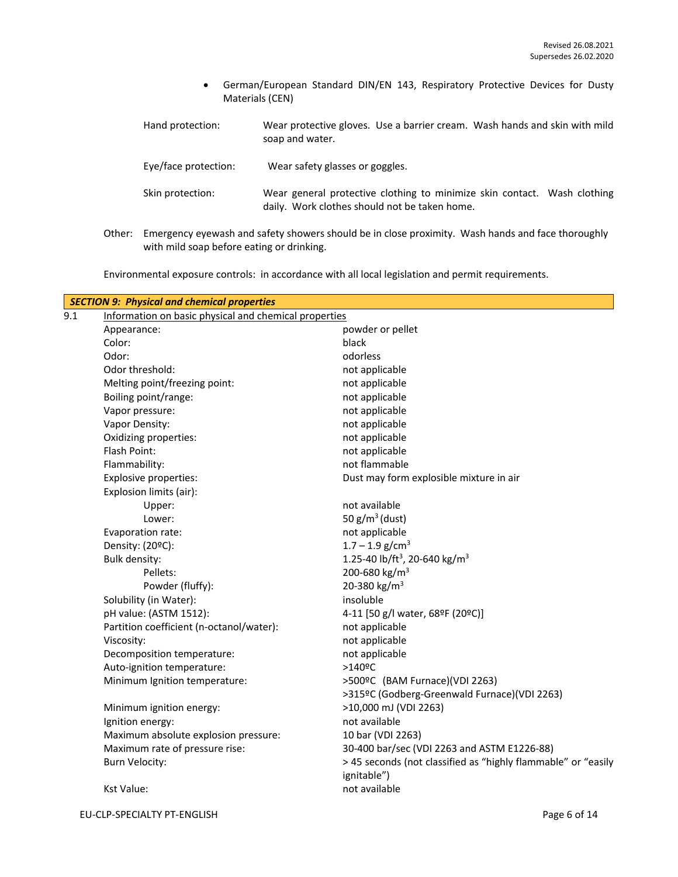- German/European Standard DIN/EN 143, Respiratory Protective Devices for Dusty Materials (CEN)
- Hand protection: Wear protective gloves. Use a barrier cream. Wash hands and skin with mild soap and water.

Eye/face protection: Wear safety glasses or goggles.

- Skin protection: Wear general protective clothing to minimize skin contact. Wash clothing daily. Work clothes should not be taken home.
- Other: Emergency eyewash and safety showers should be in close proximity. Wash hands and face thoroughly with mild soap before eating or drinking.

Environmental exposure controls: in accordance with all local legislation and permit requirements.

| 9.1 | Information on basic physical and chemical properties | <b>SECTION 9: Physical and chemical properties</b>                           |  |  |  |
|-----|-------------------------------------------------------|------------------------------------------------------------------------------|--|--|--|
|     | Appearance:                                           | powder or pellet                                                             |  |  |  |
|     | Color:                                                | black                                                                        |  |  |  |
|     | Odor:                                                 | odorless                                                                     |  |  |  |
|     | Odor threshold:                                       | not applicable                                                               |  |  |  |
|     | Melting point/freezing point:                         | not applicable                                                               |  |  |  |
|     | Boiling point/range:                                  | not applicable                                                               |  |  |  |
|     | Vapor pressure:                                       | not applicable                                                               |  |  |  |
|     | Vapor Density:                                        | not applicable                                                               |  |  |  |
|     | Oxidizing properties:                                 | not applicable                                                               |  |  |  |
|     | Flash Point:                                          | not applicable                                                               |  |  |  |
|     | Flammability:                                         | not flammable                                                                |  |  |  |
|     | Explosive properties:                                 | Dust may form explosible mixture in air                                      |  |  |  |
|     | Explosion limits (air):                               |                                                                              |  |  |  |
|     | Upper:                                                | not available                                                                |  |  |  |
|     | Lower:                                                | 50 $g/m^3$ (dust)                                                            |  |  |  |
|     | Evaporation rate:                                     | not applicable                                                               |  |  |  |
|     | Density: (20°C):                                      | $1.7 - 1.9$ g/cm <sup>3</sup>                                                |  |  |  |
|     | <b>Bulk density:</b>                                  | 1.25-40 lb/ft <sup>3</sup> , 20-640 kg/m <sup>3</sup>                        |  |  |  |
|     | Pellets:                                              | 200-680 kg/m <sup>3</sup>                                                    |  |  |  |
|     | Powder (fluffy):                                      | 20-380 kg/m <sup>3</sup>                                                     |  |  |  |
|     | Solubility (in Water):                                | insoluble                                                                    |  |  |  |
|     | pH value: (ASTM 1512):                                | 4-11 [50 g/l water, 68ºF (20ºC)]                                             |  |  |  |
|     | Partition coefficient (n-octanol/water):              | not applicable                                                               |  |  |  |
|     | Viscosity:                                            | not applicable                                                               |  |  |  |
|     | Decomposition temperature:                            | not applicable                                                               |  |  |  |
|     | Auto-ignition temperature:                            | >140ºC                                                                       |  |  |  |
|     | Minimum Ignition temperature:                         | >500ºC (BAM Furnace)(VDI 2263)                                               |  |  |  |
|     |                                                       | >315ºC (Godberg-Greenwald Furnace)(VDI 2263)                                 |  |  |  |
|     | Minimum ignition energy:                              | >10,000 mJ (VDI 2263)                                                        |  |  |  |
|     | Ignition energy:                                      | not available                                                                |  |  |  |
|     | Maximum absolute explosion pressure:                  | 10 bar (VDI 2263)                                                            |  |  |  |
|     | Maximum rate of pressure rise:                        | 30-400 bar/sec (VDI 2263 and ASTM E1226-88)                                  |  |  |  |
|     | <b>Burn Velocity:</b>                                 | > 45 seconds (not classified as "highly flammable" or "easily<br>ignitable") |  |  |  |
|     | <b>Kst Value:</b>                                     | not available                                                                |  |  |  |
|     |                                                       |                                                                              |  |  |  |

EU-CLP-SPECIALTY PT-ENGLISH Page 6 of 14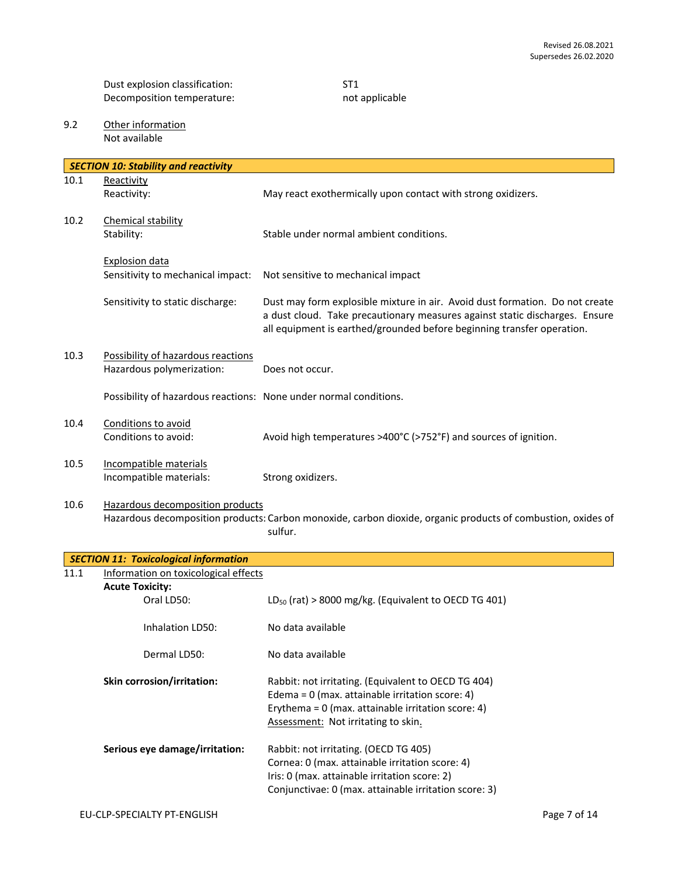Dust explosion classification: ST1<br>Decomposition temperature: ST1<br>Necomposition temperature: ST2 Decomposition temperature:

9.2 Other information Not available

|      | <b>SECTION 10: Stability and reactivity</b>                       |                                                                                                                                                                                                                                       |
|------|-------------------------------------------------------------------|---------------------------------------------------------------------------------------------------------------------------------------------------------------------------------------------------------------------------------------|
| 10.1 | Reactivity                                                        |                                                                                                                                                                                                                                       |
|      | Reactivity:                                                       | May react exothermically upon contact with strong oxidizers.                                                                                                                                                                          |
| 10.2 | Chemical stability<br>Stability:                                  | Stable under normal ambient conditions.                                                                                                                                                                                               |
|      | <b>Explosion data</b><br>Sensitivity to mechanical impact:        | Not sensitive to mechanical impact                                                                                                                                                                                                    |
|      | Sensitivity to static discharge:                                  | Dust may form explosible mixture in air. Avoid dust formation. Do not create<br>a dust cloud. Take precautionary measures against static discharges. Ensure<br>all equipment is earthed/grounded before beginning transfer operation. |
| 10.3 | Possibility of hazardous reactions<br>Hazardous polymerization:   | Does not occur.                                                                                                                                                                                                                       |
|      | Possibility of hazardous reactions: None under normal conditions. |                                                                                                                                                                                                                                       |
| 10.4 | Conditions to avoid<br>Conditions to avoid:                       | Avoid high temperatures >400°C (>752°F) and sources of ignition.                                                                                                                                                                      |
| 10.5 | Incompatible materials<br>Incompatible materials:                 | Strong oxidizers.                                                                                                                                                                                                                     |
| 10.6 | Hazardous decomposition products                                  | Hazardous decomposition products: Carbon monoxide, carbon dioxide, organic products of combustion, oxides of<br>sulfur.                                                                                                               |
|      | <b>SECTION 11: Toxicological information</b>                      |                                                                                                                                                                                                                                       |
| 11.1 | Information on toxicological effects                              |                                                                                                                                                                                                                                       |
|      | <b>Acute Toxicity:</b>                                            |                                                                                                                                                                                                                                       |
|      | Oral LD50:                                                        | $LD_{50}$ (rat) > 8000 mg/kg. (Equivalent to OECD TG 401)                                                                                                                                                                             |
|      | Inhalation LD50:                                                  | No data available                                                                                                                                                                                                                     |
|      | Dermal LD50:                                                      | No data available                                                                                                                                                                                                                     |
|      | Skin corrosion/irritation:                                        | Rabbit: not irritating. (Equivalent to OECD TG 404)<br>Edema = $0$ (max. attainable irritation score: 4)<br>Erythema = $0$ (max. attainable irritation score: 4)<br>Assessment: Not irritating to skin.                               |
|      | Serious eye damage/irritation:                                    | Rabbit: not irritating. (OECD TG 405)<br>Cornea: 0 (max. attainable irritation score: 4)<br>Iris: 0 (max. attainable irritation score: 2)<br>Conjunctivae: 0 (max. attainable irritation score: 3)                                    |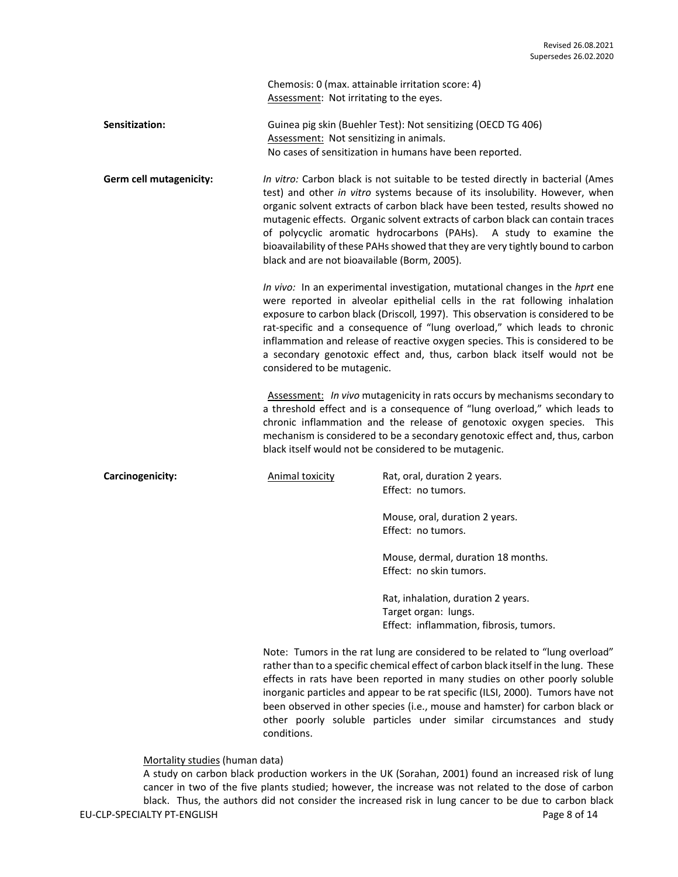Chemosis: 0 (max. attainable irritation score: 4) Assessment: Not irritating to the eyes.

**Sensitization:** Guinea pig skin (Buehler Test): Not sensitizing (OECD TG 406) Assessment: Not sensitizing in animals. No cases of sensitization in humans have been reported.

**Germ cell mutagenicity:** *In vitro:* Carbon black is not suitable to be tested directly in bacterial (Ames test) and other *in vitro* systems because of its insolubility. However, when organic solvent extracts of carbon black have been tested, results showed no mutagenic effects. Organic solvent extracts of carbon black can contain traces of polycyclic aromatic hydrocarbons (PAHs). A study to examine the bioavailability of these PAHs showed that they are very tightly bound to carbon black and are not bioavailable (Borm, 2005).

> *In vivo:* In an experimental investigation, mutational changes in the *hprt* ene were reported in alveolar epithelial cells in the rat following inhalation exposure to carbon black (Driscoll*,* 1997). This observation is considered to be rat-specific and a consequence of "lung overload," which leads to chronic inflammation and release of reactive oxygen species. This is considered to be a secondary genotoxic effect and, thus, carbon black itself would not be considered to be mutagenic.

> Assessment: *In vivo* mutagenicity in rats occurs by mechanisms secondary to a threshold effect and is a consequence of "lung overload," which leads to chronic inflammation and the release of genotoxic oxygen species. This mechanism is considered to be a secondary genotoxic effect and, thus, carbon black itself would not be considered to be mutagenic.

**Carcinogenicity: Carcinogenicity:** Animal toxicity **Rat, oral, duration 2 years.** Effect: no tumors.

> Mouse, oral, duration 2 years. Effect: no tumors.

Mouse, dermal, duration 18 months. Effect: no skin tumors.

Rat, inhalation, duration 2 years. Target organ: lungs. Effect: inflammation, fibrosis, tumors.

Note: Tumors in the rat lung are considered to be related to "lung overload" rather than to a specific chemical effect of carbon black itself in the lung. These effects in rats have been reported in many studies on other poorly soluble inorganic particles and appear to be rat specific (ILSI, 2000). Tumors have not been observed in other species (i.e., mouse and hamster) for carbon black or other poorly soluble particles under similar circumstances and study conditions.

Mortality studies (human data)

EU-CLP-SPECIALTY PT-ENGLISH Page 8 of 14 A study on carbon black production workers in the UK (Sorahan, 2001) found an increased risk of lung cancer in two of the five plants studied; however, the increase was not related to the dose of carbon black. Thus, the authors did not consider the increased risk in lung cancer to be due to carbon black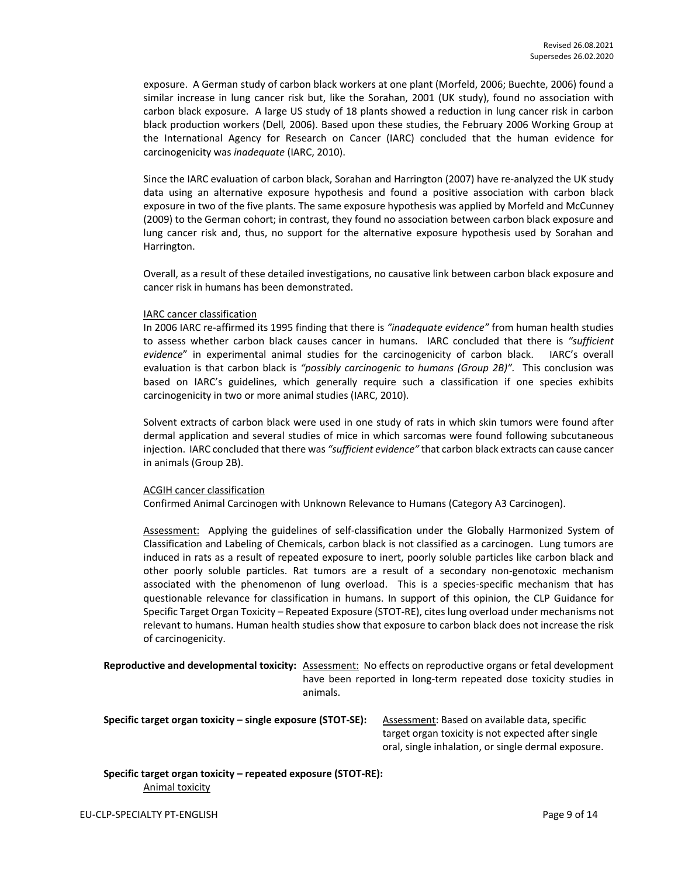exposure. A German study of carbon black workers at one plant (Morfeld, 2006; Buechte, 2006) found a similar increase in lung cancer risk but, like the Sorahan, 2001 (UK study), found no association with carbon black exposure. A large US study of 18 plants showed a reduction in lung cancer risk in carbon black production workers (Dell*,* 2006). Based upon these studies, the February 2006 Working Group at the International Agency for Research on Cancer (IARC) concluded that the human evidence for carcinogenicity was *inadequate* (IARC, 2010).

Since the IARC evaluation of carbon black, Sorahan and Harrington (2007) have re-analyzed the UK study data using an alternative exposure hypothesis and found a positive association with carbon black exposure in two of the five plants. The same exposure hypothesis was applied by Morfeld and McCunney (2009) to the German cohort; in contrast, they found no association between carbon black exposure and lung cancer risk and, thus, no support for the alternative exposure hypothesis used by Sorahan and Harrington.

Overall, as a result of these detailed investigations, no causative link between carbon black exposure and cancer risk in humans has been demonstrated.

#### IARC cancer classification

In 2006 IARC re-affirmed its 1995 finding that there is *"inadequate evidence"* from human health studies to assess whether carbon black causes cancer in humans. IARC concluded that there is *"sufficient evidence*" in experimental animal studies for the carcinogenicity of carbon black. IARC's overall evaluation is that carbon black is *"possibly carcinogenic to humans (Group 2B)".* This conclusion was based on IARC's guidelines, which generally require such a classification if one species exhibits carcinogenicity in two or more animal studies (IARC, 2010).

Solvent extracts of carbon black were used in one study of rats in which skin tumors were found after dermal application and several studies of mice in which sarcomas were found following subcutaneous injection. IARC concluded that there was *"sufficient evidence"* that carbon black extracts can cause cancer in animals (Group 2B).

#### ACGIH cancer classification

Confirmed Animal Carcinogen with Unknown Relevance to Humans (Category A3 Carcinogen).

Assessment: Applying the guidelines of self-classification under the Globally Harmonized System of Classification and Labeling of Chemicals, carbon black is not classified as a carcinogen. Lung tumors are induced in rats as a result of repeated exposure to inert, poorly soluble particles like carbon black and other poorly soluble particles. Rat tumors are a result of a secondary non-genotoxic mechanism associated with the phenomenon of lung overload. This is a species-specific mechanism that has questionable relevance for classification in humans. In support of this opinion, the CLP Guidance for Specific Target Organ Toxicity – Repeated Exposure (STOT-RE), cites lung overload under mechanisms not relevant to humans. Human health studies show that exposure to carbon black does not increase the risk of carcinogenicity.

**Reproductive and developmental toxicity:** Assessment: No effects on reproductive organs or fetal development have been reported in long-term repeated dose toxicity studies in animals.

**Specific target organ toxicity – single exposure (STOT-SE):** Assessment: Based on available data, specific

target organ toxicity is not expected after single oral, single inhalation, or single dermal exposure.

#### **Specific target organ toxicity – repeated exposure (STOT-RE):**  Animal toxicity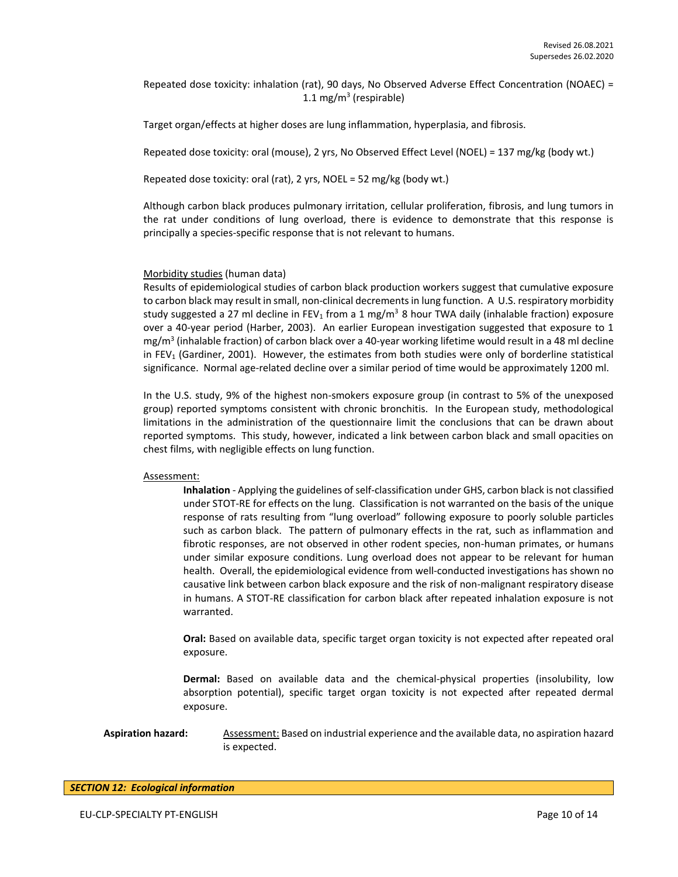Repeated dose toxicity: inhalation (rat), 90 days, No Observed Adverse Effect Concentration (NOAEC) = 1.1 mg/m<sup>3</sup> (respirable)

Target organ/effects at higher doses are lung inflammation, hyperplasia, and fibrosis.

Repeated dose toxicity: oral (mouse), 2 yrs, No Observed Effect Level (NOEL) = 137 mg/kg (body wt.)

Repeated dose toxicity: oral (rat), 2 yrs, NOEL = 52 mg/kg (body wt.)

Although carbon black produces pulmonary irritation, cellular proliferation, fibrosis, and lung tumors in the rat under conditions of lung overload, there is evidence to demonstrate that this response is principally a species-specific response that is not relevant to humans.

#### Morbidity studies (human data)

Results of epidemiological studies of carbon black production workers suggest that cumulative exposure to carbon black may result in small, non-clinical decrements in lung function. A U.S. respiratory morbidity study suggested a 27 ml decline in FEV<sub>1</sub> from a 1 mg/m<sup>3</sup> 8 hour TWA daily (inhalable fraction) exposure over a 40-year period (Harber, 2003). An earlier European investigation suggested that exposure to 1 mg/m<sup>3</sup> (inhalable fraction) of carbon black over a 40-year working lifetime would result in a 48 ml decline in  $FEV<sub>1</sub>$  (Gardiner, 2001). However, the estimates from both studies were only of borderline statistical significance. Normal age-related decline over a similar period of time would be approximately 1200 ml.

In the U.S. study, 9% of the highest non-smokers exposure group (in contrast to 5% of the unexposed group) reported symptoms consistent with chronic bronchitis. In the European study, methodological limitations in the administration of the questionnaire limit the conclusions that can be drawn about reported symptoms. This study, however, indicated a link between carbon black and small opacities on chest films, with negligible effects on lung function.

#### Assessment:

**Inhalation** - Applying the guidelines of self-classification under GHS, carbon black is not classified under STOT-RE for effects on the lung. Classification is not warranted on the basis of the unique response of rats resulting from "lung overload" following exposure to poorly soluble particles such as carbon black. The pattern of pulmonary effects in the rat, such as inflammation and fibrotic responses, are not observed in other rodent species, non-human primates, or humans under similar exposure conditions. Lung overload does not appear to be relevant for human health. Overall, the epidemiological evidence from well-conducted investigations has shown no causative link between carbon black exposure and the risk of non-malignant respiratory disease in humans. A STOT-RE classification for carbon black after repeated inhalation exposure is not warranted.

**Oral:** Based on available data, specific target organ toxicity is not expected after repeated oral exposure.

**Dermal:** Based on available data and the chemical-physical properties (insolubility, low absorption potential), specific target organ toxicity is not expected after repeated dermal exposure.

**Aspiration hazard:** Assessment: Based on industrial experience and the available data, no aspiration hazard is expected.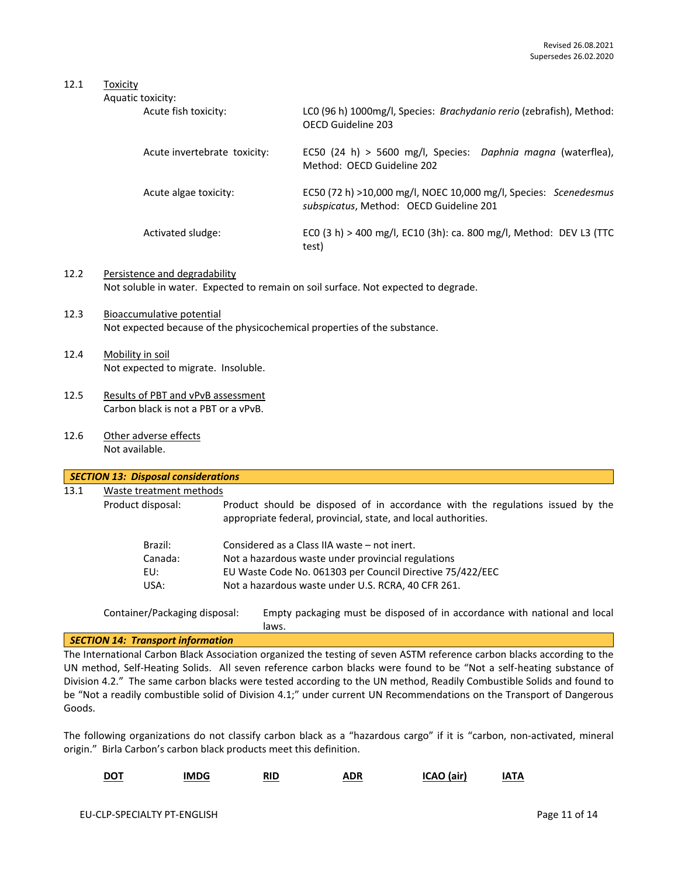## 12.1 Toxicity

| Aquatic toxicity:            |                                                                                                             |
|------------------------------|-------------------------------------------------------------------------------------------------------------|
| Acute fish toxicity:         | LCO (96 h) 1000mg/l, Species: Brachydanio rerio (zebrafish), Method:<br>OFCD Guideline 203                  |
| Acute invertebrate toxicity: | EC50 (24 h) > 5600 mg/l, Species: Daphnia magna (waterflea),<br>Method: OFCD Guideline 202                  |
| Acute algae toxicity:        | EC50 (72 h) >10,000 mg/l, NOEC 10,000 mg/l, Species: Scenedesmus<br>subspicatus, Method: OECD Guideline 201 |
| Activated sludge:            | ECO (3 h) > 400 mg/l, EC10 (3h): ca. 800 mg/l, Method: DEV L3 (TTC<br>test)                                 |

- 12.2 Persistence and degradability Not soluble in water. Expected to remain on soil surface. Not expected to degrade.
- 12.3 Bioaccumulative potential Not expected because of the physicochemical properties of the substance.
- 12.4 Mobility in soil Not expected to migrate. Insoluble.
- 12.5 Results of PBT and vPvB assessment Carbon black is not a PBT or a vPvB.
- 12.6 Other adverse effects Not available.

| 13.1 | Waste treatment methods |                                                                                                                                                  |
|------|-------------------------|--------------------------------------------------------------------------------------------------------------------------------------------------|
|      | Product disposal:       | Product should be disposed of in accordance with the regulations issued by the<br>appropriate federal, provincial, state, and local authorities. |
|      | Brazil:                 | Considered as a Class IIA waste – not inert.                                                                                                     |
|      | Canada:                 | Not a hazardous waste under provincial regulations                                                                                               |
|      | EU:                     | EU Waste Code No. 061303 per Council Directive 75/422/EEC                                                                                        |
|      | USA:                    | Not a hazardous waste under U.S. RCRA, 40 CFR 261.                                                                                               |

Container/Packaging disposal: Empty packaging must be disposed of in accordance with national and local laws.

## *SECTION 14: Transport information*

The International Carbon Black Association organized the testing of seven ASTM reference carbon blacks according to the UN method, Self-Heating Solids. All seven reference carbon blacks were found to be "Not a self-heating substance of Division 4.2." The same carbon blacks were tested according to the UN method, Readily Combustible Solids and found to be "Not a readily combustible solid of Division 4.1;" under current UN Recommendations on the Transport of Dangerous Goods.

The following organizations do not classify carbon black as a "hazardous cargo" if it is "carbon, non-activated, mineral origin." Birla Carbon's carbon black products meet this definition.

| DOT | <b>IMDG</b> | RID<br>----<br>---- | <b>ADR</b><br>.<br>_____ | (air)<br>10 I | TΑ<br>IΑ |
|-----|-------------|---------------------|--------------------------|---------------|----------|
|-----|-------------|---------------------|--------------------------|---------------|----------|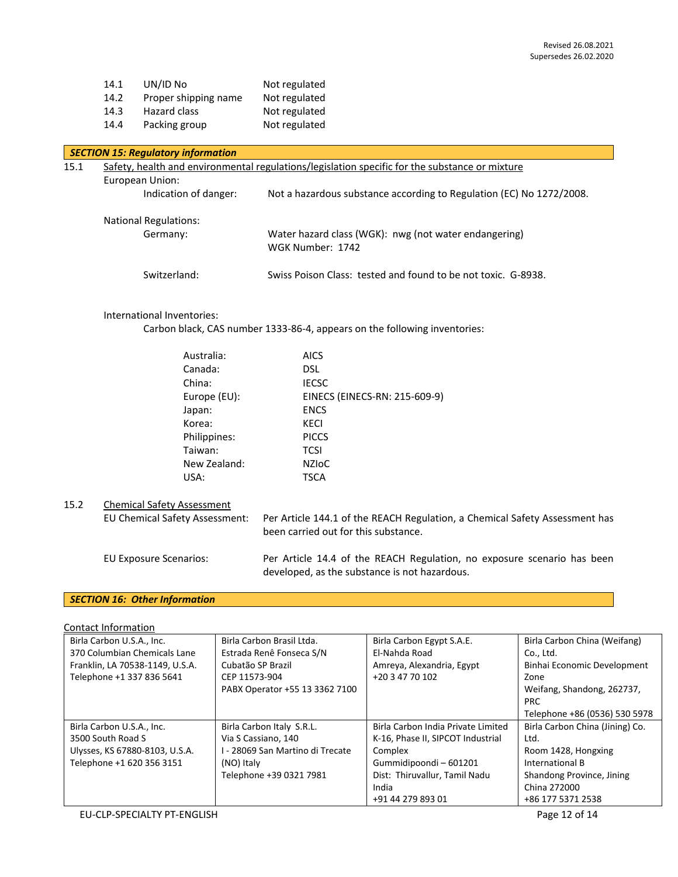| UN/ID No             | Not regulated |
|----------------------|---------------|
| Proper shipping name | Not regulated |
| Hazard class         | Not regulated |
| Packing group        | Not regulated |
|                      |               |

| <b>SECTION 15: Regulatory information</b> |                                                                                                |                                                                           |  |  |
|-------------------------------------------|------------------------------------------------------------------------------------------------|---------------------------------------------------------------------------|--|--|
| 15.1                                      | Safety, health and environmental regulations/legislation specific for the substance or mixture |                                                                           |  |  |
|                                           | European Union:                                                                                |                                                                           |  |  |
|                                           | Indication of danger:                                                                          | Not a hazardous substance according to Regulation (EC) No 1272/2008.      |  |  |
|                                           | <b>National Regulations:</b>                                                                   |                                                                           |  |  |
|                                           | Germany:                                                                                       | Water hazard class (WGK): nwg (not water endangering)<br>WGK Number: 1742 |  |  |
|                                           | Switzerland:                                                                                   | Swiss Poison Class: tested and found to be not toxic. G-8938.             |  |  |

### International Inventories:

Carbon black, CAS number 1333-86-4, appears on the following inventories:

| Australia:   | <b>AICS</b>                   |
|--------------|-------------------------------|
| Canada:      | DSL                           |
| China:       | <b>IECSC</b>                  |
| Europe (EU): | EINECS (EINECS-RN: 215-609-9) |
| Japan:       | <b>ENCS</b>                   |
| Korea:       | KECI                          |
| Philippines: | <b>PICCS</b>                  |
| Taiwan:      | <b>TCSI</b>                   |
| New Zealand: | <b>NZIOC</b>                  |
| USA:         | TSCA                          |
|              |                               |

## 15.2 Chemical Safety Assessment

| EU Chemical Safety Assessment: | Per Article 144.1 of the REACH Regulation, a Chemical Safety Assessment has<br>been carried out for this substance.      |
|--------------------------------|--------------------------------------------------------------------------------------------------------------------------|
| EU Exposure Scenarios:         | Per Article 14.4 of the REACH Regulation, no exposure scenario has been<br>developed, as the substance is not hazardous. |

# *SECTION 16: Other Information*

Contact Information

| Birla Carbon U.S.A., Inc.       | Birla Carbon Brasil Ltda.        | Birla Carbon Egypt S.A.E.          | Birla Carbon China (Weifang)    |
|---------------------------------|----------------------------------|------------------------------------|---------------------------------|
| 370 Columbian Chemicals Lane    | Estrada Renê Fonseca S/N         | El-Nahda Road                      | Co., Ltd.                       |
| Franklin, LA 70538-1149, U.S.A. | Cubatão SP Brazil                | Amreya, Alexandria, Egypt          | Binhai Economic Development     |
| Telephone +1 337 836 5641       | CEP 11573-904                    | +20 3 47 70 102                    | Zone                            |
|                                 | PABX Operator +55 13 3362 7100   |                                    | Weifang, Shandong, 262737,      |
|                                 |                                  |                                    | PRC.                            |
|                                 |                                  |                                    | Telephone +86 (0536) 530 5978   |
| Birla Carbon U.S.A., Inc.       | Birla Carbon Italy S.R.L.        | Birla Carbon India Private Limited | Birla Carbon China (Jining) Co. |
| 3500 South Road S               | Via S Cassiano, 140              | K-16, Phase II, SIPCOT Industrial  | Ltd.                            |
| Ulysses, KS 67880-8103, U.S.A.  | I - 28069 San Martino di Trecate | Complex                            | Room 1428, Hongxing             |
| Telephone +1 620 356 3151       | (NO) Italy                       | Gummidipoondi-601201               | International B                 |
|                                 | Telephone +39 0321 7981          | Dist: Thiruvallur, Tamil Nadu      | Shandong Province, Jining       |
|                                 |                                  | India                              | China 272000                    |
|                                 |                                  | +91 44 279 893 01                  | +86 177 5371 2538               |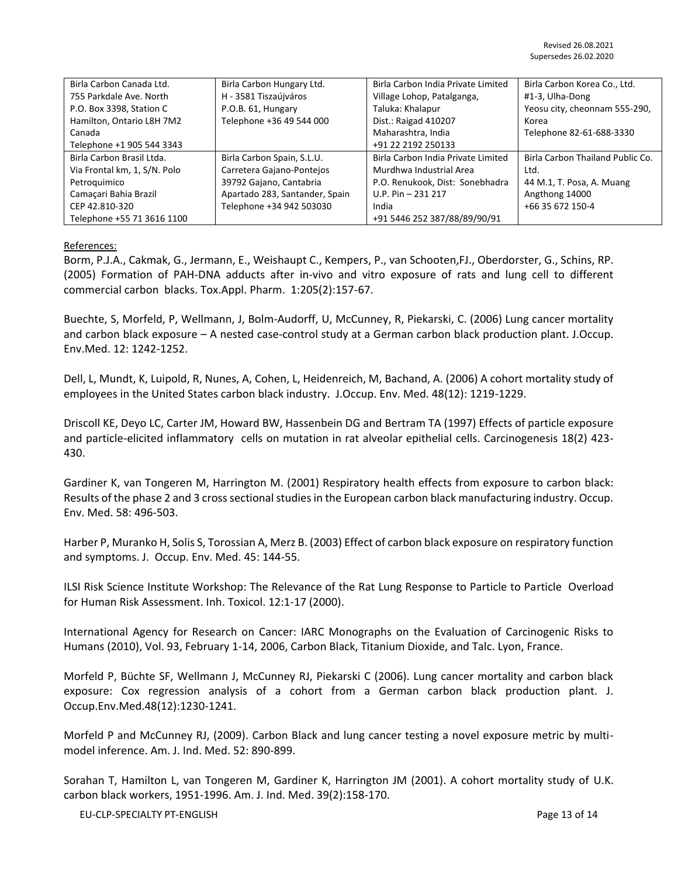| Birla Carbon Canada Ltd.     | Birla Carbon Hungary Ltd.      | Birla Carbon India Private Limited | Birla Carbon Korea Co., Ltd.     |
|------------------------------|--------------------------------|------------------------------------|----------------------------------|
| 755 Parkdale Ave. North      | H - 3581 Tiszaújváros          | Village Lohop, Patalganga,         | #1-3, Ulha-Dong                  |
| P.O. Box 3398, Station C     | P.O.B. 61, Hungary             | Taluka: Khalapur                   | Yeosu city, cheonnam 555-290,    |
| Hamilton, Ontario L8H 7M2    | Telephone +36 49 544 000       | Dist.: Raigad 410207               | Korea                            |
| Canada                       |                                | Maharashtra, India                 | Telephone 82-61-688-3330         |
| Telephone +1 905 544 3343    |                                | +91 22 2192 250133                 |                                  |
| Birla Carbon Brasil Ltda.    | Birla Carbon Spain, S.L.U.     | Birla Carbon India Private Limited | Birla Carbon Thailand Public Co. |
| Via Frontal km, 1, S/N. Polo | Carretera Gajano-Pontejos      | Murdhwa Industrial Area            | Ltd.                             |
| Petroquimico                 | 39792 Gajano, Cantabria        | P.O. Renukook, Dist: Sonebhadra    | 44 M.1, T. Posa, A. Muang        |
| Camacari Bahia Brazil        | Apartado 283, Santander, Spain | $U.P. Pin - 231 217$               | Angthong 14000                   |
| CEP 42.810-320               | Telephone +34 942 503030       | India                              | +66 35 672 150-4                 |
| Telephone +55 71 3616 1100   |                                | +91 5446 252 387/88/89/90/91       |                                  |

#### References:

Borm, P.J.A., Cakmak, G., Jermann, E., Weishaupt C., Kempers, P., van Schooten,FJ., Oberdorster, G., Schins, RP. (2005) Formation of PAH-DNA adducts after in-vivo and vitro exposure of rats and lung cell to different commercial carbon blacks. Tox.Appl. Pharm. 1:205(2):157-67.

Buechte, S, Morfeld, P, Wellmann, J, Bolm-Audorff, U, McCunney, R, Piekarski, C. (2006) Lung cancer mortality and carbon black exposure – A nested case-control study at a German carbon black production plant. J.Occup. Env.Med. 12: 1242-1252.

Dell, L, Mundt, K, Luipold, R, Nunes, A, Cohen, L, Heidenreich, M, Bachand, A. (2006) A cohort mortality study of employees in the United States carbon black industry. J.Occup. Env. Med. 48(12): 1219-1229.

Driscoll KE, Deyo LC, Carter JM, Howard BW, Hassenbein DG and Bertram TA (1997) Effects of particle exposure and particle-elicited inflammatory cells on mutation in rat alveolar epithelial cells. Carcinogenesis 18(2) 423- 430.

Gardiner K, van Tongeren M, Harrington M. (2001) Respiratory health effects from exposure to carbon black: Results of the phase 2 and 3 cross sectional studies in the European carbon black manufacturing industry. Occup. Env. Med. 58: 496-503.

Harber P, Muranko H, Solis S, Torossian A, Merz B. (2003) Effect of carbon black exposure on respiratory function and symptoms. J. Occup. Env. Med. 45: 144-55.

ILSI Risk Science Institute Workshop: The Relevance of the Rat Lung Response to Particle to Particle Overload for Human Risk Assessment. Inh. Toxicol. 12:1-17 (2000).

International Agency for Research on Cancer: IARC Monographs on the Evaluation of Carcinogenic Risks to Humans (2010), Vol. 93, February 1-14, 2006, Carbon Black, Titanium Dioxide, and Talc. Lyon, France.

Morfeld P, Büchte SF, Wellmann J, McCunney RJ, Piekarski C (2006). Lung cancer mortality and carbon black exposure: Cox regression analysis of a cohort from a German carbon black production plant. J. Occup.Env.Med.48(12):1230-1241.

Morfeld P and McCunney RJ, (2009). Carbon Black and lung cancer testing a novel exposure metric by multimodel inference. Am. J. Ind. Med. 52: 890-899.

Sorahan T, Hamilton L, van Tongeren M, Gardiner K, Harrington JM (2001). A cohort mortality study of U.K. carbon black workers, 1951-1996. Am. J. Ind. Med. 39(2):158-170.

EU-CLP-SPECIALTY PT-ENGLISH Page 13 of 14